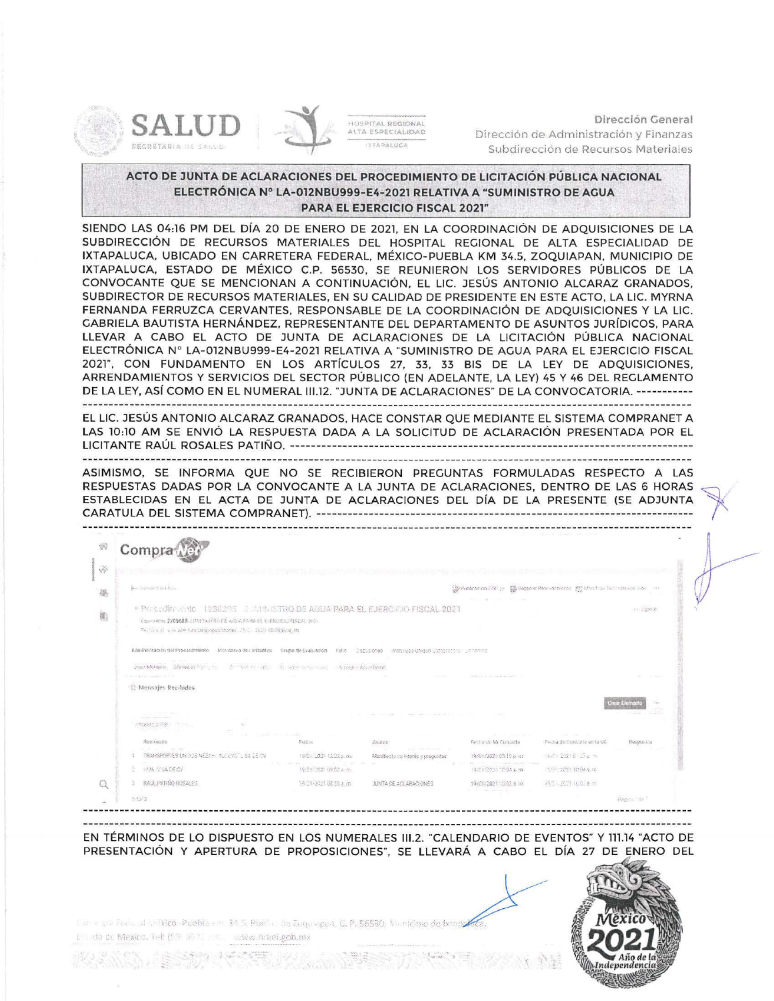



Dirección General Dirección de Administración y Finanzas Subdirección de Recursos Materiales

**ACTO DE JUNTA DE ACLARACIONES DEL PROCEDIMIENTO DE LICITACIÓN PÚBLICA NACIONAL ELECTRÓNICA Nº LA-012NBU999-E4-2021 RELATIVA A "SUMINISTRO DE AGUA PARA EL EJERCICIO FISCAL 2021"** 

SIENDO LAS 04:16 PM DEL DÍA 20 DE ENERO DE 2021, EN LA COORDINACIÓN DE ADQUISICIONES DE LA SUBDIRECCIÓN DE RECURSOS MATERIALES DEL HOSPITAL REGIONAL DE ALTA ESPECIALIDAD DE IXTAPALUCA, UBICADO EN CARRETERA FEDERAL, MÉXICO-PUEBLA KM 34.5, ZOQUIAPAN, MUNICIPIO DE IXTAPALUCA, ESTADO DE MÉXICO C.P. 56530 , SE REUNIERON LOS SERVIDORES PÚBLICOS DE LA CONVOCANTE QUE SE MENCIONAN A CONTINUACIÓN, EL LIC. JESÚS ANTONIO ALCARAZ GRANADOS, SUBDIRECTOR DE RECURSOS MATERIALES, EN SU CALIDAD DE PRESIDENTE EN ESTE ACTO, LA LIC. MYRNA FERNANDA FERRUZCA CERVANTES, RESPONSABLE DE LA COORDINACIÓN DE ADQUISICIONES Y LA LIC. GABRIELA BAUTISTA HERNÁNDEZ. REPRESENTANTE DEL DEPARTAMENTO DE ASUNTOS JURÍDICOS, PARA LLEVAR A CABO EL ACTO DE JUNTA DE ACLARACIONES DE LA LICITACIÓN PÚBLICA NACIONAL ELECTRÓNICA Nº LA-012NBU999-E4-2021 RELATIVA A "SUMINISTRO DE AGUA PARA EL EJERCICIO FISCAL 2021", CON FUNDAMENTO EN LOS ARTÍCULOS 27, 33, 33 BIS DE LA LEY DE ADQUISICIONES, ARRENDAMIENTOS Y SERVICIOS DEL SECTOR PÚBLICO (EN ADELANTE, LA LEY) 45 Y 46 DEL REGLAMENTO DE LA LEY, ASÍ COMO EN EL NUMERAL III.12. "JUNTA DE ACLARACIONES" DE LA CONVOCATORIA. -----------

EL LIC. JESÚS ANTONIO ALCARAZ GRANADOS, HACE CONSTAR QUE MEDIANTE EL SISTEMA COMPRANET A LAS 10:10 AM SE ENVIÓ LA RESPUESTA DADA A LA SOLICITUD DE ACLARACIÓN PRESENTADA POR EL LICITANTE RAÚL ROSALES PATI Ñ O. ------------------- ----------------------------------------------------------

ASIMISMO, SE INFORMA QUE NO SE RECIBIERON PREGUNTAS FORMULADAS RESPECTO A LAS RESPUESTAS DADAS POR LA CONVOCANTE A LA JUNTA DE ACLARACIONES, DENTRO DE LAS 6 HORAS ESTABLECIDAS EN EL ACTA DE JUNTA DE ACLARACIONES DEL DÍA DE LA PRESENTE (SE ADJUNTA

| Compra                                                                                                                                                                                                                                                                 |                       |                                                                            |                       |                            |                    |
|------------------------------------------------------------------------------------------------------------------------------------------------------------------------------------------------------------------------------------------------------------------------|-----------------------|----------------------------------------------------------------------------|-----------------------|----------------------------|--------------------|
|                                                                                                                                                                                                                                                                        |                       |                                                                            |                       |                            |                    |
| jue Alpiver o la riège.<br>Co Publicación DOF 21 ED Russical Procedimiento (DT Monifical Technological Vira Vira                                                                                                                                                       |                       |                                                                            |                       |                            |                    |
| * Procedimento 1938295 G. JAMNISTRO DE AGUA PARA EL EJERCICIO FISCAL 2021<br>Experiente 2209683 (IRMINISTRO DE AGUA PARA EL EJERCICIO PISCAL 2021)<br>Fecha visit is de alter tura de proposiciones. L'ExCl. 2023 10.08.00 a, in                                       |                       |                                                                            |                       |                            | im Zigente         |
| Administración del Procedimiento Monitoreo de Licitadles Grupo de Evaluación Fallo Discusiones Mensees Unique Sampresse portantes<br>Sterr Michael - 139 sales Fig. (2011) - 2011 Fig. (2011) - Robert Enterprise - Adenalog Advistage<br>The probably workers and man |                       |                                                                            |                       |                            |                    |
| Mensajes Recibidos                                                                                                                                                                                                                                                     |                       |                                                                            |                       |                            |                    |
| <b>Contract Commerce Commerce Commerce</b><br><b>Providence Park Line Communication</b>                                                                                                                                                                                |                       | the company of the company of the company of the company of the company of |                       |                            | oas Bioman<br>0.46 |
| and the control of the control of<br>Retritions                                                                                                                                                                                                                        | 561318                | Asigno                                                                     | Fecha de Mi Conculta  | Fecha de Consulta en la UC | Respuesta          |
| of the two side areas<br>TRANSPORTES UNIDOS NEZAHU ALCOYOTLI SA GEIOVI                                                                                                                                                                                                 | 19/01/2021 12:22 p.ms | and the production and<br>Manifiesto de interés y prequatas                | 19/01/2021 05:10 p.m. | 19:01 2027 0 17 o m        |                    |
| WAS VISADECY                                                                                                                                                                                                                                                           | 19:01/2021 09:57 a.m. |                                                                            | 19/01/2021 10:04 a.m. | IS 91/2221 10:04 s.m.      |                    |
| RALL PATINO ROSALES                                                                                                                                                                                                                                                    | 19.01-2021 00:59 a.m. | JUNTA DE ACLARACIONES                                                      | 19/01/2021 10:03 s.m. | 1931 2021 10:03 6 m        |                    |
| 百万可变                                                                                                                                                                                                                                                                   |                       |                                                                            |                       |                            | Pagine de          |

EN TÉRMINOS DE LO DISPUESTO EN LOS NUMERALES 111.2. "CALENDARIO DE EVENTOS" Y 111.14 "ACTO DE PRESENTACIÓN Y APERTURA DE PROPOSICIONES", SE LLEVARÁ A CABO EL DÍA 27 DE ENERO DEL

tur e cre ĉes<sup>t</sup>e al pri<mark>kico -Puebla em 34.5. Pue</mark>bla de Zequarpon, C. P. 56530, Manicipio de Ixtenz  $\mathbb{L}^+$ . (do de Mexico, Tel: (59-3972). ("i. - www.hraei.gob.mx